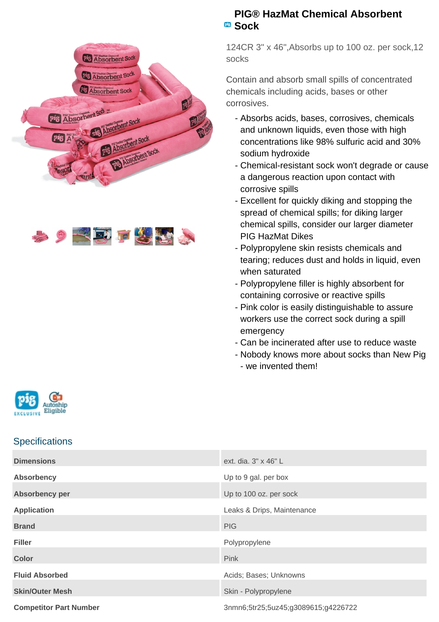



## **PIG® HazMat Chemical Absorbent Sock**

124CR 3" x 46",Absorbs up to 100 oz. per sock,12 socks

Contain and absorb small spills of concentrated chemicals including acids, bases or other corrosives.

- Absorbs acids, bases, corrosives, chemicals and unknown liquids, even those with high concentrations like 98% sulfuric acid and 30% sodium hydroxide
- Chemical-resistant sock won't degrade or cause a dangerous reaction upon contact with corrosive spills
- Excellent for quickly diking and stopping the spread of chemical spills; for diking larger chemical spills, consider our larger diameter PIG HazMat Dikes
- Polypropylene skin resists chemicals and tearing; reduces dust and holds in liquid, even when saturated
- Polypropylene filler is highly absorbent for containing corrosive or reactive spills
- Pink color is easily distinguishable to assure workers use the correct sock during a spill emergency
- Can be incinerated after use to reduce waste
- Nobody knows more about socks than New Pig -
- we invented them!



## **Specifications**

| <b>Dimensions</b>             | ext. dia. 3" x 46" L                |
|-------------------------------|-------------------------------------|
| <b>Absorbency</b>             | Up to 9 gal. per box                |
| Absorbency per                | Up to 100 oz. per sock              |
| <b>Application</b>            | Leaks & Drips, Maintenance          |
| <b>Brand</b>                  | <b>PIG</b>                          |
| <b>Filler</b>                 | Polypropylene                       |
| <b>Color</b>                  | Pink                                |
| <b>Fluid Absorbed</b>         | Acids; Bases; Unknowns              |
| <b>Skin/Outer Mesh</b>        | Skin - Polypropylene                |
| <b>Competitor Part Number</b> | 3nmn6;5tr25;5uz45;g3089615;g4226722 |